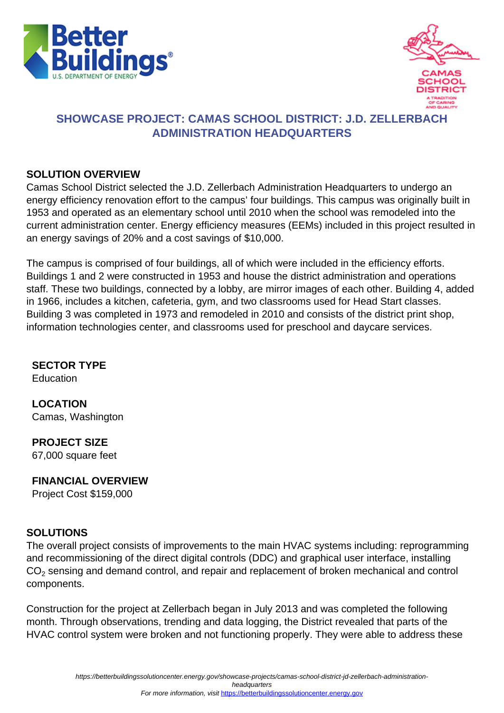



# **SHOWCASE PROJECT: CAMAS SCHOOL DISTRICT: J.D. ZELLERBACH ADMINISTRATION HEADQUARTERS**

#### **SOLUTION OVERVIEW**

Camas School District selected the J.D. Zellerbach Administration Headquarters to undergo an energy efficiency renovation effort to the campus' four buildings. This campus was originally built in 1953 and operated as an elementary school until 2010 when the school was remodeled into the current administration center. Energy efficiency measures (EEMs) included in this project resulted in an energy savings of 20% and a cost savings of \$10,000.

The campus is comprised of four buildings, all of which were included in the efficiency efforts. Buildings 1 and 2 were constructed in 1953 and house the district administration and operations staff. These two buildings, connected by a lobby, are mirror images of each other. Building 4, added in 1966, includes a kitchen, cafeteria, gym, and two classrooms used for Head Start classes. Building 3 was completed in 1973 and remodeled in 2010 and consists of the district print shop, information technologies center, and classrooms used for preschool and daycare services.

## **SECTOR TYPE**

Education

**LOCATION** Camas, Washington

**PROJECT SIZE** 67,000 square feet

#### **FINANCIAL OVERVIEW**

Project Cost \$159,000

## **SOLUTIONS**

The overall project consists of improvements to the main HVAC systems including: reprogramming and recommissioning of the direct digital controls (DDC) and graphical user interface, installing  $\mathsf{CO}_2$  sensing and demand control, and repair and replacement of broken mechanical and control components.

Construction for the project at Zellerbach began in July 2013 and was completed the following month. Through observations, trending and data logging, the District revealed that parts of the HVAC control system were broken and not functioning properly. They were able to address these

headquarters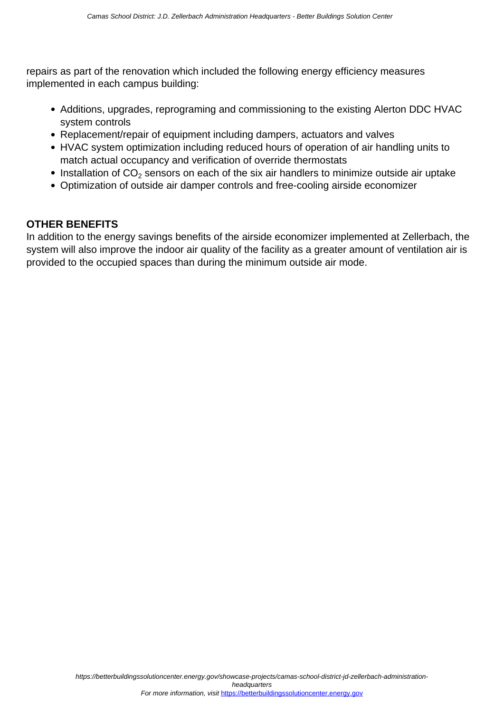repairs as part of the renovation which included the following energy efficiency measures implemented in each campus building:

- Additions, upgrades, reprograming and commissioning to the existing Alerton DDC HVAC system controls
- Replacement/repair of equipment including dampers, actuators and valves
- HVAC system optimization including reduced hours of operation of air handling units to match actual occupancy and verification of override thermostats
- Installation of  $CO<sub>2</sub>$  sensors on each of the six air handlers to minimize outside air uptake
- Optimization of outside air damper controls and free-cooling airside economizer

#### **OTHER BENEFITS**

In addition to the energy savings benefits of the airside economizer implemented at Zellerbach, the system will also improve the indoor air quality of the facility as a greater amount of ventilation air is provided to the occupied spaces than during the minimum outside air mode.